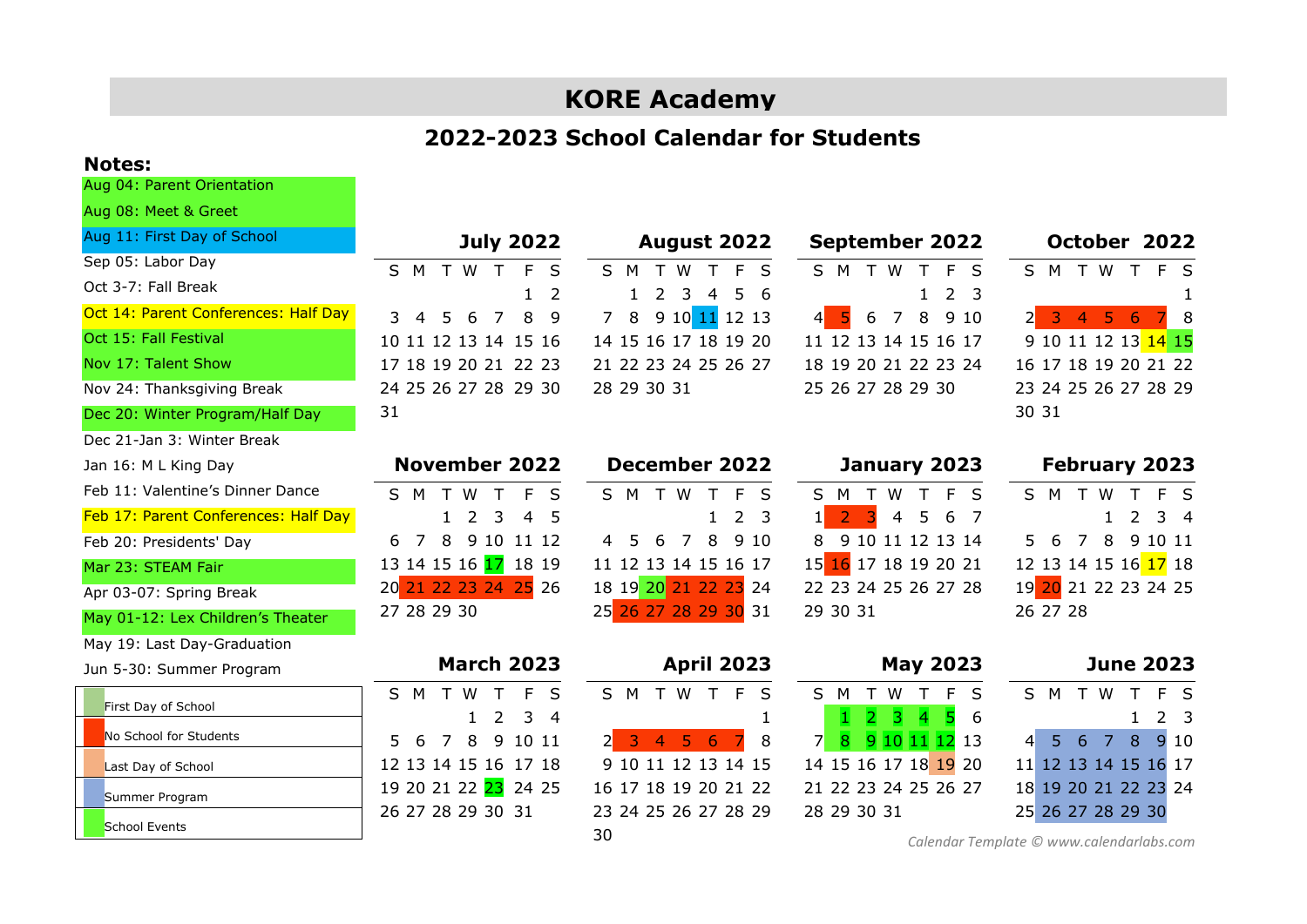# **KORE Academy**

## **2022-2023 School Calendar for Students**

### **Notes:**

Aug 04: Parent Orientation

| Aug 08: Meet & Greet                 |                                    |                                                                  |                                                                      |                                                                       |
|--------------------------------------|------------------------------------|------------------------------------------------------------------|----------------------------------------------------------------------|-----------------------------------------------------------------------|
| Aug 11: First Day of School          | <b>July 2022</b>                   | <b>August 2022</b>                                               | <b>September 2022</b>                                                | October 2022                                                          |
| Sep 05: Labor Day                    | T W T<br>F<br>S<br>S.<br>M         | S M<br>T W<br>$\mathsf{F}$<br>T<br>- S                           | S M T W<br>F S<br>$\top$                                             | S M T W T F S                                                         |
| Oct 3-7: Fall Break                  | 2                                  | 5.<br>$\mathcal{L}$<br>3<br>$\overline{4}$<br>-6<br>$\mathbf{1}$ | 2 <sub>3</sub><br>$\mathbf{1}$                                       |                                                                       |
| Oct 14: Parent Conferences: Half Day | 8<br>5<br>6<br>$\overline{7}$<br>q | 9 10 11 12 13<br>8<br>$\overline{7}$                             | $\overline{7}$<br>8<br>9 10<br>5<br>6<br>$\left  \mathbf{A} \right $ | 5 <sup>1</sup><br>$\overline{\mathbf{3}}$<br>$\overline{4}$<br>6<br>8 |
| Oct 15: Fall Festival                | 10 11 12 13 14 15 16               | 14 15 16 17 18 19 20                                             | 11 12 13 14 15 16 17                                                 | 9 10 11 12 13 14 15                                                   |
| Nov 17: Talent Show                  | 17 18 19 20 21 22 23               | 21 22 23 24 25 26 27                                             | 18 19 20 21 22 23 24                                                 | 16 17 18 19 20 21 22                                                  |
| Nov 24: Thanksgiving Break           | 24 25 26 27 28 29 30               | 28 29 30 31                                                      | 25 26 27 28 29 30                                                    | 23 24 25 26 27 28 29                                                  |
| Dec 20: Winter Program/Half Day      | 31                                 |                                                                  |                                                                      | 30 31                                                                 |
| Dec 21-Jan 3: Winter Break           |                                    |                                                                  |                                                                      |                                                                       |
| Jan 16: M L King Day                 | <b>November 2022</b>               | <b>December 2022</b>                                             | January 2023                                                         | <b>February 2023</b>                                                  |
| Feb 11: Valentine's Dinner Dance     | F<br>T W<br>$\top$<br>- S<br>S M   | S M T W T F<br>- S                                               | S M T W T<br>F S                                                     | S M T<br>W<br>F S                                                     |
| Feb 17: Parent Conferences: Half Day | 5<br>$\overline{2}$<br>3<br>4      | 2 <sub>3</sub>                                                   | 6<br>4<br>- 7                                                        | $\overline{3}$ 4<br>2                                                 |
| Feb 20: Presidents' Day              | 8<br>9 10 11 12<br>7<br>6          | 8<br>9 10<br>6<br>7<br>$\overline{4}$<br>5                       | 9 10 11 12 13 14<br>8                                                | 5.<br>6<br>8<br>7<br>9 10 11                                          |
| Mar 23: STEAM Fair                   | 13 14 15 16 <mark>17</mark> 18 19  | 11 12 13 14 15 16 17                                             | 15 16 17 18 19 20 21                                                 | 12 13 14 15 16 17 18                                                  |
| Apr 03-07: Spring Break              | 20 21 22 23 24 25 26               | 18 19 20 21 22 23 24                                             | 22 23 24 25 26 27 28                                                 | 19 20 21 22 23 24 25                                                  |
| May 01-12: Lex Children's Theater    | 27 28 29 30                        | 25 26 27 28 29 30 31                                             | 29 30 31                                                             | 26 27 28                                                              |
| May 19: Last Day-Graduation          |                                    |                                                                  |                                                                      |                                                                       |
| Jun 5-30: Summer Program             | <b>March 2023</b>                  | <b>April 2023</b>                                                | <b>May 2023</b>                                                      | <b>June 2023</b>                                                      |
| First Day of School                  | M<br>E<br>S<br>T W<br>T<br>-S      | TWTFS<br>S M                                                     | F<br>S.<br>T W<br>M<br>T<br>$\mathcal{S}$                            | T W<br>T F S<br>S M                                                   |
| No School for Students               | 3<br>2<br>4                        |                                                                  | Б<br>R<br>6                                                          | 2 <sub>3</sub>                                                        |
|                                      | 8<br>9<br>10 11<br>5.<br>6<br>7    | -3<br>-5<br>6<br>8<br>$\overline{4}$                             | $\overline{7}$<br>9 10 11 12 13<br>8                                 | 6<br>8<br>9 10<br>5.<br>7<br>$\overline{4}$                           |
| Last Day of School                   | 12 13 14 15 16 17 18               | 9 10 11 12 13 14 15                                              | 14 15 16 17 18 19 20                                                 | 11 12 13 14 15 16 17                                                  |
| Summer Program                       | 19 20 21 22 23 24 25               | 16 17 18 19 20 21 22                                             | 21 22 23 24 25 26 27                                                 | 18 19 20 21 22 23 24                                                  |
| <b>School Events</b>                 | 26 27 28 29 30 31                  | 23 24 25 26 27 28 29<br>$\sim$                                   | 28 29 30 31                                                          | 25 26 27 28 29 30                                                     |

30

*[Calendar Template](http://www.calendarlabs.com/calendar-template) © www.calendarlabs.com*